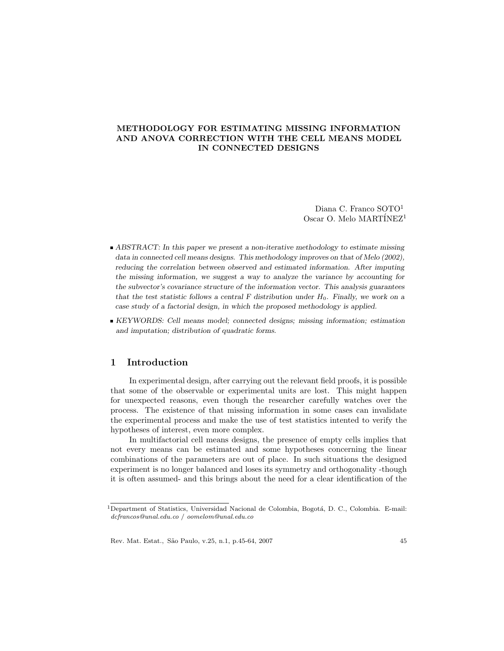# METHODOLOGY FOR ESTIMATING MISSING INFORMATION AND ANOVA CORRECTION WITH THE CELL MEANS MODEL IN CONNECTED DESIGNS

Diana C. Franco SOTO<sup>1</sup> Oscar O. Melo  $\text{MARTÍNEZ}^1$ 

- $\blacktriangleright$  ABSTRACT: In this paper we present a non-iterative methodology to estimate missing data in connected cell means designs. This methodology improves on that of Melo  $(2002)$ , reducing the correlation between observed and estimated information. After imputing the missing information, we suggest a way to analyze the variance by accounting for the subvector's covariance structure of the information vector. This analysis guarantees that the test statistic follows a central F distribution under  $H_0$ . Finally, we work on a case study of a factorial design, in which the proposed methodology is applied.
- KEYWORDS: Cell means model; connected designs; missing information; estimation and imputation; distribution of quadratic forms.

### 1 Introduction

In experimental design, after carrying out the relevant field proofs, it is possible that some of the observable or experimental units are lost. This might happen for unexpected reasons, even though the researcher carefully watches over the process. The existence of that missing information in some cases can invalidate the experimental process and make the use of test statistics intented to verify the hy potheses of interest, even more complex.

In multifactorial cell means designs, the presence of empty cells implies that not every means can be estimated and some hypotheses concerning the linear combinations of the parameters are out of place. In such situations the designed experiment is no longer balanced and loses its symmetry and orthogonality -though it is often assumed- and this brings about the need for a clear identification of the

 $1$ Department of Statistics, Universidad Nacional de Colombia, Bogotá, D. C., Colombia. E-mail: dcfrancos@unal.edu.co / oomelom@unal.edu.co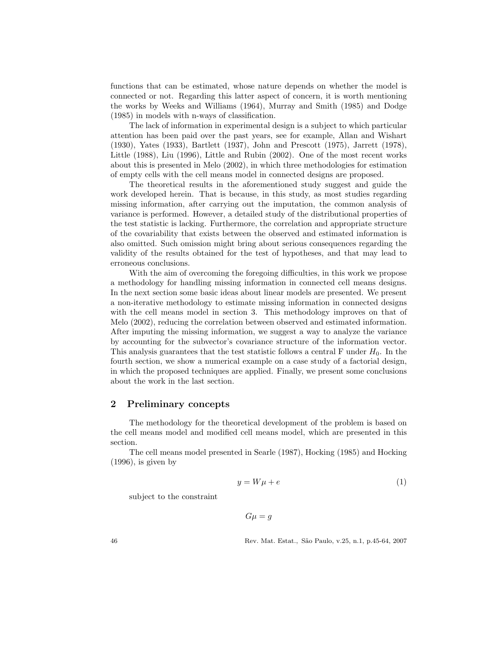functions that can be estimated, whose nature depends on whether the model is connected or not. Regarding this latter aspect of concern, it is worth mentioning the works by Weeks and Williams  $(1964)$ , Murray and Smith  $(1985)$  and Dodge  $(1985)$  in models with n-ways of classification.

The lack of information in experimental design is a subject to which particular attention has been paid over the past years, see for example, Allan and Wishart (1930), Yates (1933), Bartlett (1937), John and Prescott (1975), Jarrett (1978), Little  $(1988)$ , Liu  $(1996)$ , Little and Rubin  $(2002)$ . One of the most recent works about this is presented in Melo  $(2002)$ , in which three methodologies for estimation of empty cells with the cell means model in connected designs are proposed.

The theoretical results in the aforementioned study suggest and guide the work developed herein. That is because, in this study, as most studies regarding missing information, after carrying out the imputation, the common analysis of variance is performed. However, a detailed study of the distributional properties of the test statistic is lacking. Furthermore, the correlation and appropriate structure of the covariability that exists between the observed and estimated information is also omitted. Such omission might bring about serious consequences regarding the validity of the results obtained for the test of hypotheses, and that may lead to erroneous conclusions.

With the aim of overcoming the foregoing difficulties, in this work we propose a methodology for handling missing information in connected cell means designs. In the next section some basic ideas about linear models are presented. We present a non-iterative methodology to estimate missing information in connected designs with the cell means model in section 3. This methodology improves on that of Melo (2002), reducing the correlation between observed and estimated information. After imputing the missing information, we suggest a way to analyze the variance by accounting for the subvector's covariance structure of the information vector. This analysis guarantees that the test statistic follows a central F under  $H_0$ . In the fourth section, we show a numerical example on a case study of a factorial design, in which the proposed techniques are applied. Finally, we present some conclusions about the work in the last section.

# 2 Preliminary concepts

The methodology for the theoretical development of the problem is based on the cell means model and modified cell means model, which are presented in this section.

The cell means model presented in Searle (1987), Hocking (1985) and Hocking  $(1996)$ , is given by

$$
y = W\mu + e \tag{1}
$$

subject to the constraint

$$
G\mu = g
$$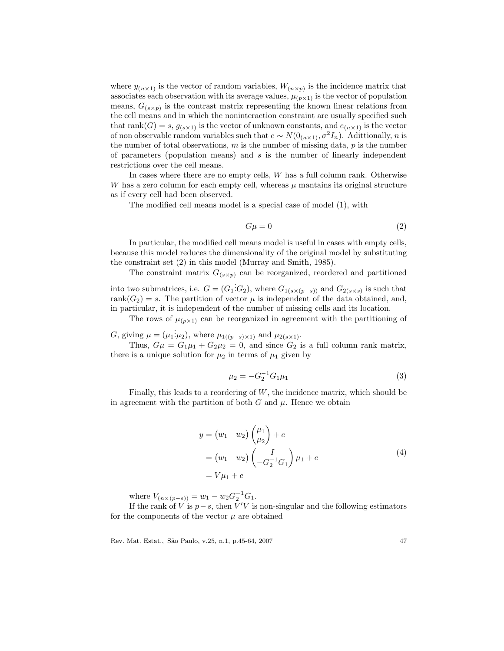where  $y_{(n \times 1)}$  is the vector of random variables,  $W_{(n \times p)}$  is the incidence matrix that associates each observation with its average values,  $\mu_{(p \times 1)}$  is the vector of population means,  $G_{(s \times p)}$  is the contrast matrix representing the known linear relations from the cell means and in which the noninteraction constraint are usually specified such that  $rank(G) = s$ ,  $g_{(s \times 1)}$  is the vector of unknown constants, and  $e_{(n \times 1)}$  is the vector of non observable random variables such that  $e \sim N(0_{(n \times 1)}, \sigma^2 I_n)$ . Adittionally, n is the number of total observations,  $m$  is the number of missing data,  $p$  is the number of parameters (population means) and  $s$  is the number of linearly independent restrictions over the cell means.

In cases where there are no empty cells,  $W$  has a full column rank. Otherwise W has a zero column for each empty cell, whereas  $\mu$  mantains its original structure as if every cell had been observed.

The modified cell means model is a special case of model (1), with

$$
G\mu = 0\tag{2}
$$

In particular, the modified cell means model is useful in cases with empty cells, because this model reduces the dimensionality of the original model by substituting the constraint set (2) in this model (Murray and Smith, 1985).

The constraint matrix  $G_{(s \times p)}$  can be reorganized, reordered and partitioned

into two submatrices, i.e.  $G = (G_1 \dot{G}_2)$ , where  $G_{1(s \times (p-s))}$  and  $G_{2(s \times s)}$  is such that rank( $G_2$ ) = s. The partition of vector  $\mu$  is independent of the data obtained, and, in particular, it is independent of the number of missing cells and its location.

The rows of  $\mu_{(p\times 1)}$  can be reorganized in agreement with the partitioning of

G, giving  $\mu = (\mu_1 : \mu_2)$ , where  $\mu_{1((p-s)\times 1)}$  and  $\mu_{2(s\times 1)}$ .

Thus,  $G\mu = G_1\mu_1 + G_2\mu_2 = 0$ , and since  $G_2$  is a full column rank matrix, there is a unique solution for  $\mu_2$  in terms of  $\mu_1$  given by

$$
\mu_2 = -G_2^{-1} G_1 \mu_1 \tag{3}
$$

Finally, this leads to a reordering of  $W$ , the incidence matrix, which should be in agreement with the partition of both  $G$  and  $\mu$ . Hence we obtain

$$
y = (w_1 \quad w_2) \begin{pmatrix} \mu_1 \\ \mu_2 \end{pmatrix} + e
$$
  
=  $(w_1 \quad w_2) \begin{pmatrix} I \\ -G_2^{-1}G_1 \end{pmatrix} \mu_1 + e$  (4)  
=  $V\mu_1 + e$ 

where  $V_{(n \times (p-s))} = w_1 - w_2 G_2^{-1} G_1$ .

If the rank of V is  $p-s$ , then  $\overline{V}'V$  is non-singular and the following estimators for the components of the vector  $\mu$  are obtained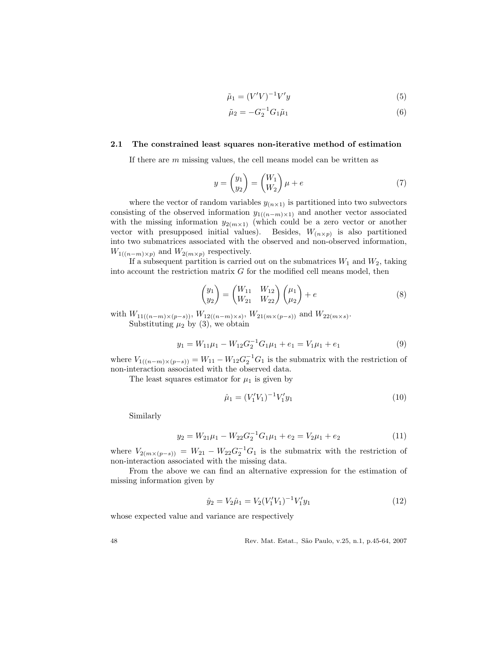$$
\tilde{\mu}_1 = (V'V)^{-1}V'y\tag{5}
$$

$$
\tilde{\mu}_2 = -G_2^{-1} G_1 \tilde{\mu}_1 \tag{6}
$$

### 2.1 The constrained least squares non-iterative method of estimation

If there are  $m$  missing values, the cell means model can be written as

$$
y = \begin{pmatrix} y_1 \\ y_2 \end{pmatrix} = \begin{pmatrix} W_1 \\ W_2 \end{pmatrix} \mu + e \tag{7}
$$

where the vector of random variables  $y_{(n \times 1)}$  is partitioned into two subvectors consisting of the observed information  $y_{1((n-m)\times 1)}$  and another vector associated with the missing information  $y_{2(m\times1)}$  (which could be a zero vector or another vector with presupposed initial values). Besides,  $W_{(n \times p)}$  is also partitioned into two submatrices associated with the observed and non-observed information,  $W_{1((n-m)\times p)}$  and  $W_{2(m\times p)}$  respectively.

If a subsequent partition is carried out on the submatrices  $W_1$  and  $W_2$ , taking into account the restriction matrix  $G$  for the modified cell means model, then

$$
\begin{pmatrix} y_1 \\ y_2 \end{pmatrix} = \begin{pmatrix} W_{11} & W_{12} \\ W_{21} & W_{22} \end{pmatrix} \begin{pmatrix} \mu_1 \\ \mu_2 \end{pmatrix} + e \tag{8}
$$

with  $W_{11((n-m)\times(p-s))}$ ,  $W_{12((n-m)\times s)}$ ,  $W_{21(m\times(p-s))}$  and  $W_{22(m\times s)}$ . Substituting  $\mu_2$  by (3), we obtain

$$
y_1 = W_{11}\mu_1 - W_{12}G_2^{-1}G_1\mu_1 + e_1 = V_1\mu_1 + e_1
$$
\n(9)

where  $V_{1((n-m)\times(p-s))} = W_{11} - W_{12}G_2^{-1}G_1$  is the submatrix with the restriction of non-interaction associated with the observed data.

The least squares estimator for  $\mu_1$  is given by

$$
\hat{\mu}_1 = (V_1' V_1)^{-1} V_1' y_1 \tag{10}
$$

Similarly

$$
y_2 = W_{21}\mu_1 - W_{22}G_2^{-1}G_1\mu_1 + e_2 = V_2\mu_1 + e_2 \tag{11}
$$

where  $V_{2(m \times (p-s))} = W_{21} - W_{22} G_2^{-1} G_1$  is the submatrix with the restriction of non-interaction associated with the missing data.

From the above we can find an alternative expression for the estimation of missing information given by

$$
\hat{y}_2 = V_2 \hat{\mu}_1 = V_2 (V_1' V_1)^{-1} V_1' y_1 \tag{12}
$$

whose expected value and variance are respectively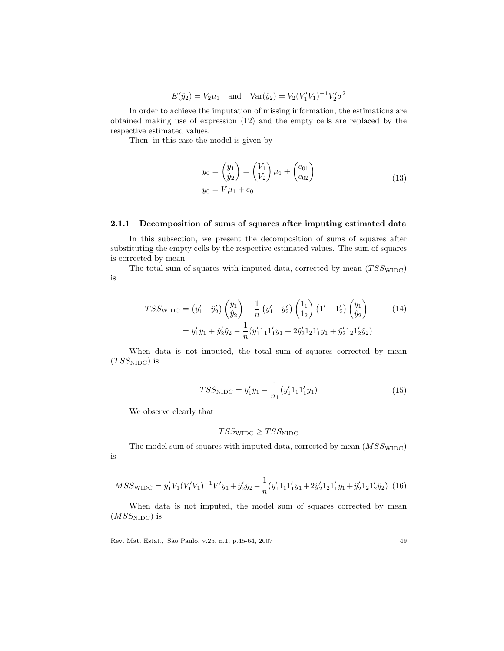$E(\hat{y}_2) = V_2 \mu_1$  and  $Var(\hat{y}_2) = V_2 (V'_1 V_1)^{-1} V'_2 \sigma^2$ 

In order to achieve the imputation of missing information, the estimations are obtained making use of expression (12) and the empty cells are replaced by the respective estimated values.

Then, in this case the model is given by

$$
y_0 = \begin{pmatrix} y_1 \\ \hat{y}_2 \end{pmatrix} = \begin{pmatrix} V_1 \\ V_2 \end{pmatrix} \mu_1 + \begin{pmatrix} e_{01} \\ e_{02} \end{pmatrix}
$$
  

$$
y_0 = V\mu_1 + e_0
$$
 (13)

### 2.1.1 Decomposition of sums of squares after imputing estimated data

In this subsection, we present the decomposition of sums of squares after substituting the empty cells by the respective estimated values. The sum of squares is corrected by mean.

The total sum of squares with imputed data, corrected by mean  $(TSS_{\text{WIDC}})$ is

$$
TSS_{\text{WIDC}} = (y'_1 \quad \hat{y}'_2) \begin{pmatrix} y_1 \\ \hat{y}_2 \end{pmatrix} - \frac{1}{n} (y'_1 \quad \hat{y}'_2) \begin{pmatrix} 1_1 \\ 1_2 \end{pmatrix} (1'_1 \quad 1'_2) \begin{pmatrix} y_1 \\ \hat{y}_2 \end{pmatrix}
$$

$$
= y'_1 y_1 + \hat{y}'_2 \hat{y}_2 - \frac{1}{n} (y'_1 1_1 1'_1 y_1 + 2 \hat{y}'_2 1_2 1'_1 y_1 + \hat{y}'_2 1_2 1'_2 \hat{y}_2)
$$
(14)

When data is not imputed, the total sum of squares corrected by mean  $(TSS_{\rm NIDC})$  is

$$
TSS_{\text{NIDC}} = y_1' y_1 - \frac{1}{n_1} (y_1' 1_1 1_1' y_1)
$$
\n(15)

We observe clearly that

$$
TSS_{\rm WIDC} \geq TSS_{\rm NIDC}
$$

The model sum of squares with imputed data, corrected by mean  $(MSS_{\text{WIDC}})$ is

$$
MSS_{\text{WIDC}} = y_1' V_1 (V_1' V_1)^{-1} V_1' y_1 + \hat{y}_2' \hat{y}_2 - \frac{1}{n} (y_1' 1_1 1_1' y_1 + 2 \hat{y}_2' 1_2 1_1' y_1 + \hat{y}_2' 1_2 1_2' \hat{y}_2) \tag{16}
$$

When data is not imputed, the model sum of squares corrected by mean  $(MSS_{\text{NIDC}})$  is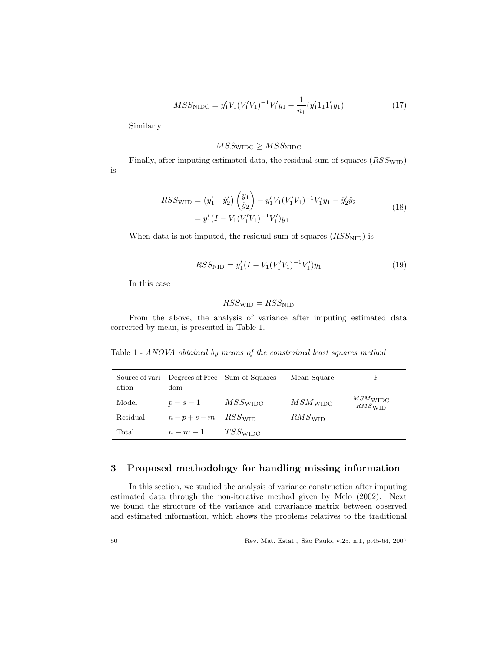$$
MSS_{\rm NIDC} = y_1' V_1 (V_1' V_1)^{-1} V_1' y_1 - \frac{1}{n_1} (y_1' 1_1 1_1' y_1)
$$
\n(17)

Similarly

# $MSS_{\rm WIDC} \geq MSS_{\rm NIDC}$

Finally, after imputing estimated data, the residual sum of squares  $(RSS_{\text{WID}})$ is

$$
RSS_{\text{WID}} = (y'_1 \quad \hat{y}'_2) \begin{pmatrix} y_1 \\ \hat{y}_2 \end{pmatrix} - y'_1 V_1 (V'_1 V_1)^{-1} V'_1 y_1 - \hat{y}'_2 \hat{y}_2
$$
  
=  $y'_1 (I - V_1 (V'_1 V_1)^{-1} V'_1) y_1$  (18)

When data is not imputed, the residual sum of squares  $(RSS_{\text{NID}})$  is

$$
RSS_{\text{NID}} = y_1'(I - V_1(V_1'V_1)^{-1}V_1')y_1
$$
\n(19)

In this case

$$
RSS_{\text{WID}} = RSS_{\text{NID}}
$$

From the above, the analysis of variance after imputing estimated data corrected by mean, is presented in Table 1.

Table 1 - ANOVA obtained by means of the constrained least squares method

| ation    | Source of vari- Degrees of Free- Sum of Squares<br>dom |            | Mean Square          | F                                  |
|----------|--------------------------------------------------------|------------|----------------------|------------------------------------|
| Model    | $p-s-1$                                                | $MSS$ widc | $MSM_{\rm WIDC}$     | $MSM$ WIDC<br>$RMS$ <sub>WID</sub> |
| Residual | $n-p+s-m$ RSS with                                     |            | $RMS$ <sub>WID</sub> |                                    |
| Total    | $n-m-1$                                                | $TSS$ widc |                      |                                    |

# 3 Proposed methodology for handling missing information

In this section, we studied the analysis of variance construction after imputing estimated data through the non-iterative method given by Melo (2002). Next we found the structure of the variance and covariance matrix between observed and estimated information, which shows the problems relatives to the traditional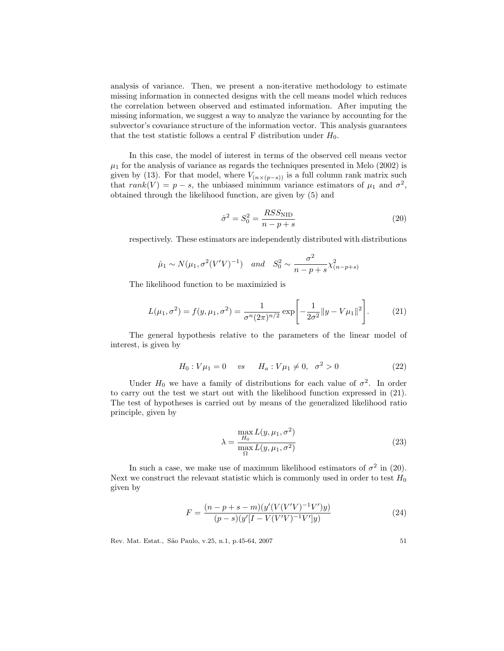analysis of variance. Then, we present a non-iterative methodology to estimate missing information in connected designs with the cell means model which reduces the correlation between observed and estimated information. After imputing the missing information, we suggest a way to analyze the variance by accounting for the subvector's covariance structure of the information vector. This analysis guarantees that the test statistic follows a central F distribution under  $H_0$ .

In this case, the model of interest in terms of the observed cell means vector  $\mu_1$  for the analysis of variance as regards the techniques presented in Melo (2002) is given by (13). For that model, where  $V_{(n \times (p-s))}$  is a full column rank matrix such that  $rank(V) = p - s$ , the unbiased minimum variance estimators of  $\mu_1$  and  $\sigma^2$ , obtained through the likelihood function, are given by (5) and

$$
\hat{\sigma}^2 = S_0^2 = \frac{RSS_{\text{NID}}}{n - p + s} \tag{20}
$$

respectively. These estimators are independently distributed with distributions

$$
\hat{\mu}_1 \sim N(\mu_1, \sigma^2 (V'V)^{-1})
$$
 and  $S_0^2 \sim \frac{\sigma^2}{n - p + s} \chi^2_{(n-p+s)}$ 

The likelihood function to be maximizied is

$$
L(\mu_1, \sigma^2) = f(y, \mu_1, \sigma^2) = \frac{1}{\sigma^n (2\pi)^{n/2}} \exp\left[-\frac{1}{2\sigma^2} ||y - V\mu_1||^2\right].
$$
 (21)

The general hypothesis relative to the parameters of the linear model of interest, is given by

$$
H_0: V\mu_1 = 0 \quad vs \quad H_a: V\mu_1 \neq 0, \quad \sigma^2 > 0 \tag{22}
$$

Under  $H_0$  we have a family of distributions for each value of  $\sigma^2$ . In order to carry out the test we start out with the likelihood function expressed in (21). The test of hypotheses is carried out by means of the generalized likelihood ratio principle, given by

$$
\lambda = \frac{\max_{H_0} L(y, \mu_1, \sigma^2)}{\max_{\Omega} L(y, \mu_1, \sigma^2)}
$$
(23)

In such a case, we make use of maximum likelihood estimators of  $\sigma^2$  in (20). Next we construct the relevant statistic which is commonly used in order to test  $H_0$ given by

$$
F = \frac{(n-p+s-m)(y'(V(V'V)^{-1}V')y)}{(p-s)(y'[I-V(V'V)^{-1}V']y)}
$$
\n(24)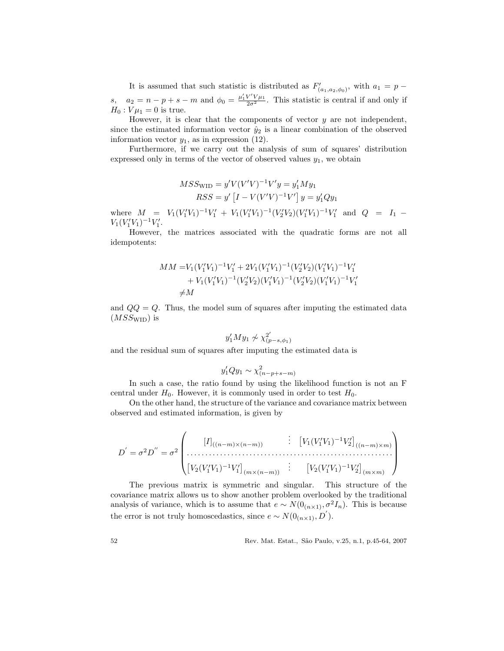It is assumed that such statistic is distributed as  $F'$  $\zeta'_{(a_1,a_2,\phi_0)}$ , with  $a_1 = p$ s,  $a_2 = n - p + s - m$  and  $\phi_0 = \frac{\mu'_1 V' V \mu_1}{2\sigma^2}$ . This statistic is central if and only if  $H_0: V\mu_1 = 0$  is true.

However, it is clear that the components of vector  $y$  are not independent, since the estimated information vector  $\hat{y}_2$  is a linear combination of the observed information vector  $y_1$ , as in expression (12).

Furthermore, if we carry out the analysis of sum of squares' distribution expressed only in terms of the vector of observed values  $y_1$ , we obtain

$$
MSS_{\text{WID}} = y'V(V'V)^{-1}V'y = y'_1My_1
$$
  

$$
RSS = y' [I - V(V'V)^{-1}V'] y = y'_1Qy_1
$$

where  $M = V_1(V_1'V_1)^{-1}V_1' + V_1(V_1'V_1)^{-1}(V_2'V_2)(V_1'V_1)^{-1}V_1'$  and  $Q = I_1$  $V_1(V_1'V_1)^{-1}V_1'.$ 

However, the matrices associated with the quadratic forms are not all idempotents:

$$
\begin{aligned} MM = & V_1 (V_1' V_1)^{-1} V_1' + 2 V_1 (V_1' V_1)^{-1} (V_2' V_2) (V_1' V_1)^{-1} V_1' \\ &+ V_1 (V_1' V_1)^{-1} (V_2' V_2) (V_1' V_1)^{-1} (V_2' V_2) (V_1' V_1)^{-1} V_1' \\ \neq & M \end{aligned}
$$

and  $QQ = Q$ . Thus, the model sum of squares after imputing the estimated data  $(MSS_{\text{WID}})$  is

$$
y_1'My_1 \not\sim \chi^2_{(p-s,\phi_1)}
$$

and the residual sum of squares after imputing the estimated data is

$$
y_1'Qy_1 \sim \chi^2_{(n-p+s-m)}
$$

In such a case, the ratio found by using the likelihood function is not an F central under  $H_0$ . However, it is commonly used in order to test  $H_0$ .

On the other hand, the structure of the variance and covariance matrix between observed and estimated information, is given by

$$
D' = \sigma^2 D'' = \sigma^2 \begin{pmatrix} [I]_{((n-m)\times(n-m))} & \vdots & [V_1(V'_1V_1)^{-1}V'_2]_{((n-m)\times m)} \\ \vdots & \vdots & \vdots \\ [V_2(V'_1V_1)^{-1}V'_1]_{(m\times(n-m))} & \vdots & [V_2(V'_1V_1)^{-1}V'_2]_{(m\times m)} \end{pmatrix}
$$

The previous matrix is symmetric and singular. This structure of the covariance matrix allows us to show another problem overlooked by the traditional analysis of variance, which is to assume that  $e \sim N(0_{(n \times 1)}, \sigma^2 I_n)$ . This is because the error is not truly homoscedastics, since  $e \sim N(0_{(n \times 1)}, D)$ .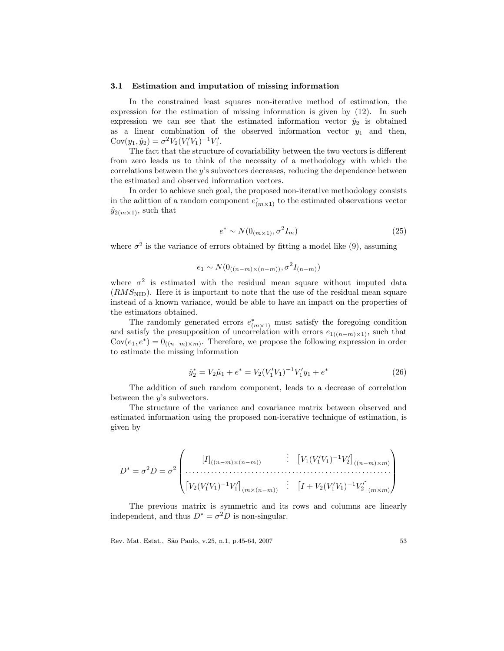#### 3.1 Estimation and imputation of missing information

In the constrained least squares non-iterative method of estimation, the expression for the estimation of missing information is given by (12). In such expression we can see that the estimated information vector  $\hat{y}_2$  is obtained as a linear combination of the observed information vector  $y_1$  and then,  $Cov(y_1, \hat{y}_2) = \sigma^2 V_2 (V_1' V_1)^{-1} V_1'.$ 

The fact that the structure of covariability between the two vectors is different from zero leads us to think of the necessity of a methodology with which the correlations between the  $y$ 's subvectors decreases, reducing the dependence between the estimated and observed information vectors.

In order to achieve such goal, the proposed non-iterative methodology consists in the adittion of a random component  $e^*_{(m\times 1)}$  to the estimated observations vector  $\hat{y}_{2(m\times1)}$ , such that

$$
e^* \sim N(0_{(m \times 1)}, \sigma^2 I_m) \tag{25}
$$

where  $\sigma^2$  is the variance of errors obtained by fitting a model like (9), assuming

$$
e_1 \sim N(0_{((n-m)\times(n-m))}, \sigma^2 I_{(n-m)})
$$

where  $\sigma^2$  is estimated with the residual mean square without imputed data  $(RMS<sub>NID</sub>)$ . Here it is important to note that the use of the residual mean square instead of a known variance, would be able to have an impact on the properties of the estimators obtained.

The randomly generated errors  $e^*_{(m\times1)}$  must satisfy the foregoing condition and satisfy the presupposition of uncorrelation with errors  $e_{1((n-m)\times 1)}$ , such that  $Cov(e_1, e^*) = 0$ <sub>((n-m)×m)</sub>. Therefore, we propose the following expression in order to estimate the missing information

$$
\hat{y}_2^* = V_2 \hat{\mu}_1 + e^* = V_2 (V_1' V_1)^{-1} V_1' y_1 + e^* \tag{26}
$$

The addition of such random component, leads to a decrease of correlation between the  $y$ 's subvectors.

The structure of the variance and covariance matrix between observed and estimated information using the proposed non-iterative technique of estimation, is given by

$$
D^* = \sigma^2 D = \sigma^2 \begin{pmatrix} [I]_{((n-m)\times(n-m)} & \vdots & [V_1(V_1'V_1)^{-1}V_2']_{((n-m)\times m)} \\ \vdots & \vdots & \vdots \\ [V_2(V_1'V_1)^{-1}V_1']_{(m\times(n-m))} & \vdots & [I + V_2(V_1'V_1)^{-1}V_2']_{(m\times m)} \end{pmatrix}
$$

The previous matrix is symmetric and its rows and columns are linearly independent, and thus  $D^* = \sigma^2 D$  is non-singular.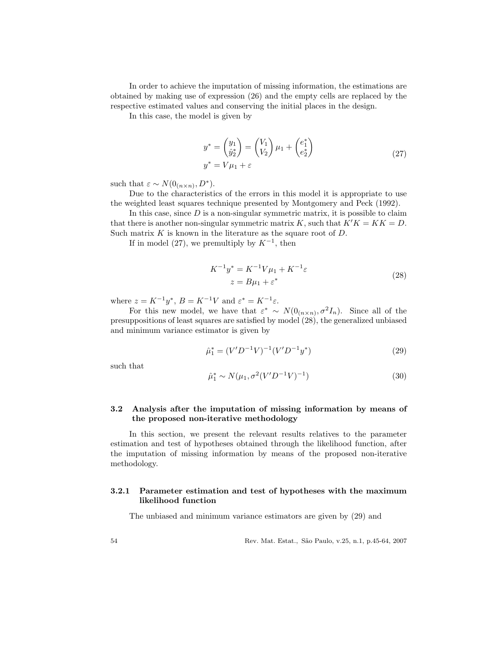In order to achieve the imputation of missing information, the estimations are obtained by making use of expression (26) and the empty cells are replaced by the respective estimated values and conserving the initial places in the design.

In this case, the model is given by

$$
y^* = \begin{pmatrix} y_1 \\ \hat{y}_2^* \end{pmatrix} = \begin{pmatrix} V_1 \\ V_2 \end{pmatrix} \mu_1 + \begin{pmatrix} e_1^* \\ e_2^* \end{pmatrix}
$$
  

$$
y^* = V\mu_1 + \varepsilon
$$
 (27)

such that  $\varepsilon \sim N(0_{(n \times n)}, D^*)$ .

Due to the characteristics of the errors in this model it is appropriate to use the weighted least squares technique presented by Montgomery and Peck (1992).

In this case, since  $D$  is a non-singular symmetric matrix, it is possible to claim that there is a nother non-singular symmetric matrix K, such that  $K'K = KK = D$ . Such matrix  $K$  is known in the literature as the square root of  $D$ .

If in model (27), we premultiply by  $K^{-1}$ , then

$$
K^{-1}y^* = K^{-1}V\mu_1 + K^{-1}\varepsilon
$$
  
 
$$
z = B\mu_1 + \varepsilon^*
$$
 (28)

where  $z = K^{-1}y^*$ ,  $B = K^{-1}V$  and  $\varepsilon^* = K^{-1}\varepsilon$ .

For this new model, we have that  $\varepsilon^* \sim N(0_{(n \times n)}, \sigma^2 I_n)$ . Since all of the presuppositions of least squares are satisfied by model (28), the generalized unbiased and minimum variance estimator is given by

$$
\hat{\mu}_1^* = (V'D^{-1}V)^{-1}(V'D^{-1}y^*)\tag{29}
$$

such that

$$
\hat{\mu}_1^* \sim N(\mu_1, \sigma^2 (V'D^{-1}V)^{-1})
$$
\n(30)

## 3.2 Analysis after the imputation of missing information by means of the proposed non-iterative methodology

In this section, we present the relevant results relatives to the parameter estimation and test of hypotheses obtained through the likelihood function, after the imputation of missing information by means of the proposed non-iterative methodology.

### 3.2.1 Parameter estimation and test of hypotheses with the maximum likelihood function

The unbiased and minimum variance estimators are given by  $(29)$  and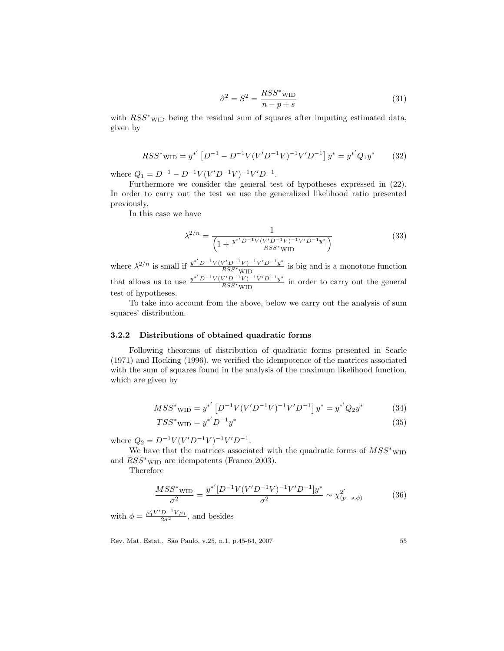$$
\hat{\sigma}^2 = S^2 = \frac{RSS^* \text{w1}}{n - p + s} \tag{31}
$$

with  $RSS^*$ <sub>WID</sub> being the residual sum of squares after imputing estimated data, given by

$$
RSS^* \text{wID} = y^{*'} \left[ D^{-1} - D^{-1} V (V' D^{-1} V)^{-1} V' D^{-1} \right] y^* = y^{*'} Q_1 y^* \tag{32}
$$

where  $Q_1 = D^{-1} - D^{-1}V(V'D^{-1}V)^{-1}V'D^{-1}$ .

Furthermore we consider the general test of hypotheses expressed in (22). In order to carry out the test we use the generalized likelihood ratio presented previously.

In this case we have

$$
\lambda^{2/n} = \frac{1}{\left(1 + \frac{y^{*'}D^{-1}V(V'D^{-1}V)^{-1}V'D^{-1}y^{*}}{RSS^{*}WID}\right)}
$$
(33)

where  $\lambda^{2/n}$  is small if  $\frac{y^{*'} D^{-1} V (V' D^{-1} V)^{-1} V' D^{-1} y^{*}}{RSS*_{\text{WIND}}}$  $\frac{\overline{WS} + \overline{V} + \overline{V} + \overline{y}}{\overline{RSS} + \overline{WID}}$  is big and is a monotone function that allows us to use  $\frac{y^{*'}D^{-1}V(V'D^{-1}V)^{-1}V'D^{-1}y^{*}}{RSS^{*}_{N}V'D^{-1}}$  $\frac{\overline{WS} + \overline{V} + \overline{V} + \overline{V}}{\overline{RSS} + \overline{W}}$  in order to carry out the general test of hypotheses.

To take into account from the above, below we carry out the analysis of sum squares' distribution.

### 3.2.2 Distributions of obtained quadratic forms

Following theorems of distribution of quadratic forms presented in Searle  $(1971)$  and Hocking  $(1996)$ , we verified the idempotence of the matrices associated with the sum of squares found in the analysis of the maximum likelihood function, which are given by

$$
MSS^*{}_{\text{WID}} = y^{*'} \left[ D^{-1}V(V'D^{-1}V)^{-1}V'D^{-1} \right] y^* = y^{*'} Q_2 y^* \tag{34}
$$

$$
TSS^*{}_{\text{WID}} = y^{*'}D^{-1}y^* \tag{35}
$$

where  $Q_2 = D^{-1}V(V'D^{-1}V)^{-1}V'D^{-1}$ .

We have that the matrices associated with the quadratic forms of  $MSS^*$ <sub>WII</sub> and  $RSS^*$ <sub>WID</sub> are idempotents (Franco 2003).

Therefore

$$
\frac{MSS^* \text{wID}}{\sigma^2} = \frac{y^{*'}[D^{-1}V(V'D^{-1}V)^{-1}V'D^{-1}]y^*}{\sigma^2} \sim \chi^2_{(p-s,\phi)}\tag{36}
$$

with  $\phi = \frac{\mu'_1 V' D^{-1} V \mu_1}{2\sigma^2}$ , and besides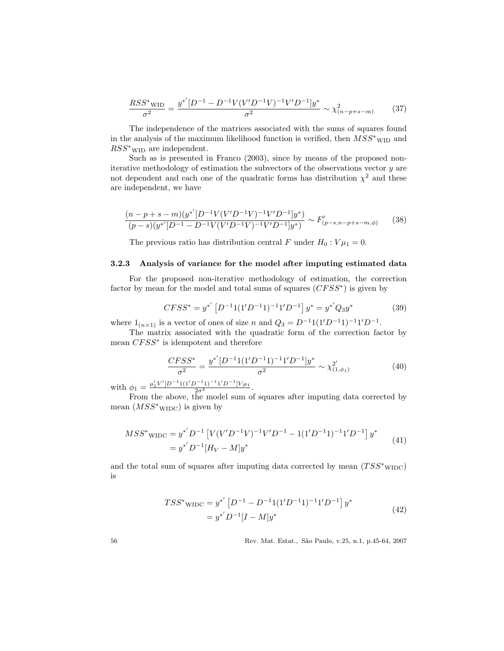$$
\frac{RSS^*_{\text{WID}}}{\sigma^2} = \frac{y^{*'}[D^{-1} - D^{-1}V(V'D^{-1}V)^{-1}V'D^{-1}]y^*}{\sigma^2} \sim \chi^2_{(n-p+s-m)} \tag{37}
$$

The independence of the matrices associated with the sums of squares found in the analysis of the maximum likelihood function is verified, then  $\overline{MSS^*}_{\rm WID}$  and  $RSS^*$ <sub>WID</sub> are independent.

Such as is presented in Franco (2003), since by means of the proposed noniterative methodology of estimation the subvectors of the observations vector  $y$  are not dependent and each one of the quadratic forms has distribution  $\chi^2$  and these are independent, we have

$$
\frac{(n-p+s-m)(y^{*'}[D^{-1}V(V'D^{-1}V)^{-1}V'D^{-1}]y^{*})}{(p-s)(y^{*'}[D^{-1}-D^{-1}V(V'D^{-1}V)^{-1}V'D^{-1}]y^{*})} \sim F'_{(p-s,n-p+s-m,\phi)}
$$
(38)

The previous ratio has distribution central F under  $H_0: V\mu_1 = 0$ .

### 3.2.3 Analysis of variance for the model after imputing estimated data

For the proposed non-iterative methodology of estimation, the correction factor by mean for the model and total sums of squares  $(CFSS^*)$  is given by

$$
CFSS^* = y^{*'} [D^{-1}1(1'D^{-1}1)^{-1}1'D^{-1}] y^* = y^{*'}Q_3y^*
$$
 (39)

where  $1_{(n\times1)}$  is a vector of ones of size n and  $Q_3 = D^{-1}1(1'D^{-1}1)^{-1}1'D^{-1}$ .

The matrix associated with the quadratic form of the correction factor by mean  $C F S S^*$  is idempotent and therefore

$$
\frac{CFSS^*}{\sigma^2} = \frac{y^{*'}[D^{-1}1(1'D^{-1}1)^{-1}1'D^{-1}]y^{*}}{\sigma^2} \sim \chi^{2'}_{(1,\phi_1)}
$$
(40)

with  $\phi_1 = \frac{\mu'_1 V'[D^{-1}1(1'D^{-1}1')^{-1}1'D^{-1}]V\mu_1}{2\sigma^2}$ .

From the above, the model sum of squares after imputing data corrected by mean  $(MSS^*$ <sub>WIDC</sub>) is given by

$$
MSS^* \text{wIDC} = y^{*'} D^{-1} \left[ V(V'D^{-1}V)^{-1} V'D^{-1} - 1(1'D^{-1}1)^{-1}1'D^{-1} \right] y^*
$$
  
= 
$$
y^{*'} D^{-1} [H_V - M] y^*
$$
 (41)

and the total sum of squares after imputing data corrected by mean  $(TSS^*_{\text{WIDC}})$ is

$$
TSS^* \text{wino} = y^{*'} [D^{-1} - D^{-1}1(1'D^{-1}1)^{-1}1'D^{-1}] y^*
$$
  
=  $y^{*'} D^{-1} [I - M] y^*$  (42)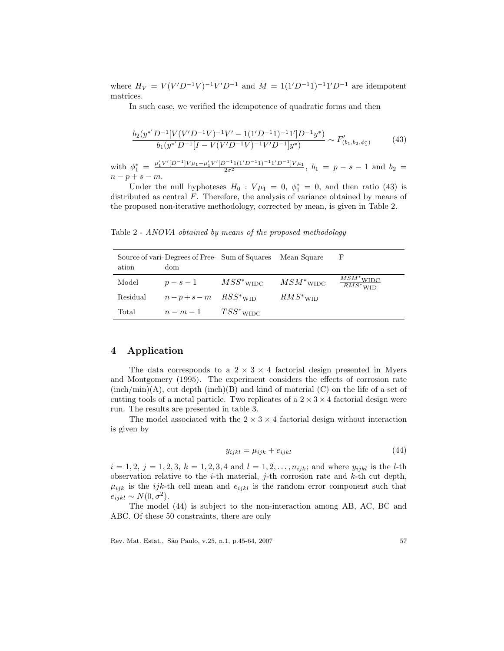where  $H_V = V(V'D^{-1}V)^{-1}V'D^{-1}$  and  $M = 1(1'D^{-1}1)^{-1}1'D^{-1}$  are idempotent matrices.

In such case, we verified the idempotence of quadratic forms and then

$$
\frac{b_2(y^{*'}D^{-1}[V(V'D^{-1}V)^{-1}V'-1(1'D^{-1}1)^{-1}1']D^{-1}y^*)}{b_1(y^{*'}D^{-1}[I-V(V'D^{-1}V)^{-1}V'D^{-1}]y^*)} \sim F'_{(b_1,b_2,\phi_1^*)}
$$
(43)

with  $\phi_1^* = \frac{\mu_1' V'[D^{-1}] V \mu_1 - \mu_1' V'[D^{-1}1 (1' D^{-1}1)^{-1} 1' D^{-1}] V \mu_1}}{2 \sigma^2}$ ,  $b_1 = p - s - 1$  and  $b_2 =$  $n-p+s-m.$ 

Under the null hyphoteses  $H_0$ :  $V\mu_1 = 0$ ,  $\phi_1^* = 0$ , and then ratio (43) is distributed as central  $F$ . Therefore, the analysis of variance obtained by means of the proposed non-iterative methodology, corrected by mean, is given in Table 2.

Table 2 - ANOVA obtained by means of the proposed methodology

| ation    | Source of vari-Degrees of Free-Sum of Squares<br>dom | Mean Square  | F                                                     |
|----------|------------------------------------------------------|--------------|-------------------------------------------------------|
| Model    | $p - s - 1$ $MSS^*$ WIDC                             | $MSM^*$ WIDC | $MSM^*_{\perp \text{WIDC}}$<br>$\overline{RMS}^*$ WID |
| Residual | $n-p+s-m$ $RSS^*$ wip                                | $RMS^*$ wid  |                                                       |
| Total    | $n-m-1$ $TSS^*$ wide                                 |              |                                                       |

# 4 Application

The data corresponds to a  $2 \times 3 \times 4$  factorial design presented in Myers and Montgomery (1995). The experiment considers the effects of corrosion rate  $(inch/min)(A)$ , cut depth  $(inch)(B)$  and kind of material  $(C)$  on the life of a set of cutting tools of a metal particle. Two replicates of a  $2 \times 3 \times 4$  factorial design were run. The results are presented in table 3.

The model associated with the  $2 \times 3 \times 4$  factorial design without interaction is given by

$$
y_{ijkl} = \mu_{ijk} + e_{ijkl} \tag{44}
$$

 $i = 1, 2, j = 1, 2, 3, k = 1, 2, 3, 4$  and  $l = 1, 2, \ldots, n_{ijk}$ ; and where  $y_{ijkl}$  is the *l*-th observation relative to the *i*-th material, *j*-th corrosion rate and *k*-th cut depth,  $\mu_{ijk}$  is the *ijk*-th cell mean and  $e_{ijkl}$  is the random error component such that  $e_{ijkl} \sim N(0, \sigma^2).$ 

The model (44) is subject to the non-interaction among AB, AC, BC and ABC. Of these 50 constraints, there are only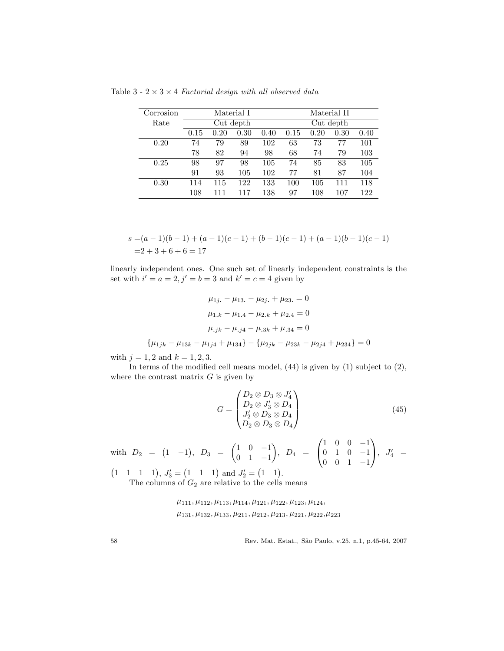Table 3 - 2  $\times$  3  $\times$  4 *Factorial design with all observed data* 

| Corrosion | Material I |      |           |      | Material II |      |      |      |
|-----------|------------|------|-----------|------|-------------|------|------|------|
| Rate      |            |      | Cut depth |      | Cut depth   |      |      |      |
|           | 0.15       | 0.20 | 0.30      | 0.40 | 0.15        | 0.20 | 0.30 | 0.40 |
| 0.20      | 74         | 79   | 89        | 102  | 63          | 73   | 77   | 101  |
|           | 78         | 82   | 94        | 98   | 68          | 74   | 79   | 103  |
| 0.25      | 98         | 97   | 98        | 105  | 74          | 85   | 83   | 105  |
|           | 91         | 93   | 105       | 102  | 77          | 81   | 87   | 104  |
| 0.30      | 114        | 115  | 122       | 133  | 100         | 105  | 111  | 118  |
|           | 108        | 111  | 117       | 138  | 97          | 108  | 107  | 122  |

$$
s = (a-1)(b-1) + (a-1)(c-1) + (b-1)(c-1) + (a-1)(b-1)(c-1)
$$
  
= 2+3+6+6 = 17

linearly independent ones. One such set of linearly independent constraints is the set with  $i' = a = 2, j' = b = 3$  and  $k' = c = 4$  given by

$$
\mu_{1j.} - \mu_{13.} - \mu_{2j.} + \mu_{23.} = 0
$$

$$
\mu_{1.k} - \mu_{1.4} - \mu_{2.k} + \mu_{2.4} = 0
$$

$$
\mu_{.jk} - \mu_{.j4} - \mu_{.3k} + \mu_{.34} = 0
$$

$$
\{\mu_{1jk} - \mu_{13k} - \mu_{1j4} + \mu_{134}\} - \{\mu_{2jk} - \mu_{23k} - \mu_{2j4} + \mu_{234}\} = 0
$$

with  $j = 1, 2$  and  $k = 1, 2, 3$ .

In terms of the modified cell means model,  $(44)$  is given by  $(1)$  subject to  $(2)$ , where the contrast matrix  $G$  is given by

$$
G = \begin{pmatrix} D_2 \otimes D_3 \otimes J_4' \\ D_2 \otimes J_3' \otimes D_4 \\ J_2' \otimes D_3 \otimes D_4 \\ D_2 \otimes D_3 \otimes D_4 \end{pmatrix}
$$
(45)

with  $D_2 = (1 \ -1), D_3 = \begin{pmatrix} 1 & 0 & -1 \\ 0 & 1 & 1 \end{pmatrix}$ 0 1 −1  $\Big), D_4 =$  $\sqrt{ }$  $\overline{1}$ 1 0 0 −1 0 1 0 −1 0 0 1 −1  $\setminus$  $\Big\},\ \ J_4' =$ 

 $(1 \quad 1 \quad 1 \quad 1), J'_3 = (1 \quad 1 \quad 1) \text{ and } J'_2 = (1 \quad 1).$ 

The columns of  $G_2$  are relative to the cells means

 $\mu_{111}, \mu_{112}, \mu_{113}, \mu_{114}, \mu_{121}, \mu_{122}, \mu_{123}, \mu_{124},$  $\mu_{131}, \mu_{132}, \mu_{133}, \mu_{211}, \mu_{212}, \mu_{213}, \mu_{221}, \mu_{222}, \mu_{223}$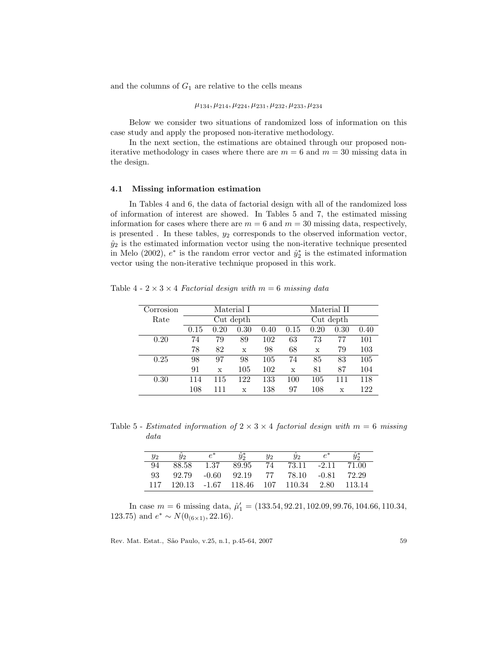and the columns of  $G_1$  are relative to the cells means

#### $\mu_{134}, \mu_{214}, \mu_{224}, \mu_{231}, \mu_{232}, \mu_{233}, \mu_{234}$

Below we consider two situations of randomized loss of information on this case study and apply the proposed non-iterative methodology.

In the next section, the estimations are obtained through our proposed noniterative methodology in cases where there are  $m = 6$  and  $m = 30$  missing data in the design.

### 4.1 Missing information estimation

In Tables 4 and 6, the data of factorial design with all of the randomized loss of information of interest are showed. In Tables 5 and 7, the estimated missing information for cases where there are  $m = 6$  and  $m = 30$  missing data, respectively, is presented. In these tables,  $y_2$  corresponds to the observed information vector,  $\hat{y}_2$  is the estimated information vector using the non-iterative technique presented in Melo (2002),  $e^*$  is the random error vector and  $\hat{y}_2^*$  is the estimated information vector using the non-iterative technique proposed in this work.

Table 4 -  $2 \times 3 \times 4$  Factorial design with  $m = 6$  missing data

| Corrosion | Material I |      |      |      | Material II |      |             |      |
|-----------|------------|------|------|------|-------------|------|-------------|------|
| Rate      | Cut depth  |      |      |      | Cut depth   |      |             |      |
|           | 0.15       | 0.20 | 0.30 | 0.40 | 0.15        | 0.20 | 0.30        | 0.40 |
| 0.20      | 74         | 79   | 89   | 102  | 63          | 73   | 77          | 101  |
|           | 78         | 82   | X    | 98   | 68          | X    | 79          | 103  |
| 0.25      | 98         | 97   | 98   | 105  | 74          | 85   | 83          | 105  |
|           | 91         | X    | 105  | 102  | X           | 81   | 87          | 104  |
| 0.30      | 114        | 115  | 122  | 133  | 100         | 105  | 111         | 118  |
|           | 108        | 111  | X    | 138  | 97          | 108  | $\mathbf x$ | 122  |

Table 5 - Estimated information of  $2 \times 3 \times 4$  factorial design with  $m = 6$  missing data

| $y_2$ | U2     |         |                           | $y_2$ | $y_2$ |         |        |
|-------|--------|---------|---------------------------|-------|-------|---------|--------|
| 94    | 88.58  | 1.37    | 89.95                     | 74    | 73.11 | $-2.11$ | 71.00  |
| 93    | 92.79  | $-0.60$ | 92.19                     | 77    | 78.10 | -0.81   | 72.29  |
|       | 120.13 |         | $-1.67$ 118.46 107 110.34 |       |       | 2.80    | 113.14 |

In case  $m = 6$  missing data,  $\hat{\mu}'_1 = (133.54, 92.21, 102.09, 99.76, 104.66, 110.34,$ 123.75) and  $e^* \sim N(0_{(6\times1)}, 22.16)$ .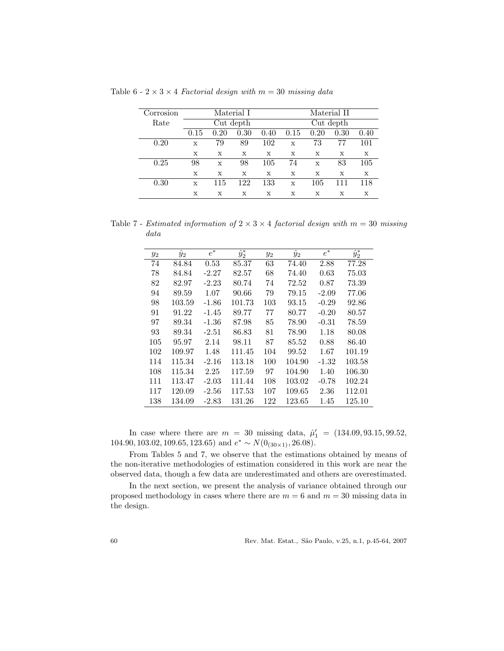| Corrosion | Material I  |           |      |      | Material II |           |      |      |  |
|-----------|-------------|-----------|------|------|-------------|-----------|------|------|--|
| Rate      |             | Cut depth |      |      |             | Cut depth |      |      |  |
|           | 0.15        | 0.20      | 0.30 | 0.40 | 0.15        | 0.20      | 0.30 | 0.40 |  |
| 0.20      | X           | 79        | 89   | 102  | X           | 73        | 77   | 101  |  |
|           | X           | X         | X    | X    | X           | X         | X    | X    |  |
| 0.25      | 98          | X         | 98   | 105  | 74          | X         | 83   | 105  |  |
|           | X           | X         | X    | X    | X           | X         | X    | X    |  |
| 0.30      | $\mathbf x$ | 115       | 122  | 133  | X           | 105       | 111  | 118  |  |
|           | х           | X         | х    | X    | х           | X         | X    | х    |  |

Table 6 -  $2 \times 3 \times 4$  Factorial design with  $m = 30$  missing data

Table 7 - Estimated information of  $2 \times 3 \times 4$  factorial design with  $m = 30$  missing data

| $y_2$ | $\hat{y}_2$ | $e^*$   | $\hat{y}_2^*$ | $y_2$ | $\hat{y}_2$ | $e^*$   | $\hat{y}_2^*$ |
|-------|-------------|---------|---------------|-------|-------------|---------|---------------|
| 74    | 84.84       | 0.53    | 85.37         | 63    | 74.40       | 2.88    | 77.28         |
| 78    | 84.84       | $-2.27$ | 82.57         | 68    | 74.40       | 0.63    | 75.03         |
| 82    | 82.97       | $-2.23$ | 80.74         | 74    | 72.52       | 0.87    | 73.39         |
| 94    | 89.59       | 1.07    | 90.66         | 79    | 79.15       | $-2.09$ | 77.06         |
| 98    | 103.59      | $-1.86$ | 101.73        | 103   | 93.15       | $-0.29$ | 92.86         |
| 91    | 91.22       | $-1.45$ | 89.77         | 77    | 80.77       | $-0.20$ | 80.57         |
| 97    | 89.34       | $-1.36$ | 87.98         | 85    | 78.90       | $-0.31$ | 78.59         |
| 93    | 89.34       | $-2.51$ | 86.83         | 81    | 78.90       | 1.18    | 80.08         |
| 105   | 95.97       | 2.14    | 98.11         | 87    | 85.52       | 0.88    | 86.40         |
| 102   | 109.97      | 1.48    | 111.45        | 104   | 99.52       | 1.67    | 101.19        |
| 114   | 115.34      | $-2.16$ | 113.18        | 100   | 104.90      | $-1.32$ | 103.58        |
| 108   | 115.34      | 2.25    | 117.59        | 97    | 104.90      | 1.40    | 106.30        |
| 111   | 113.47      | $-2.03$ | 111.44        | 108   | 103.02      | $-0.78$ | 102.24        |
| 117   | 120.09      | $-2.56$ | 117.53        | 107   | 109.65      | 2.36    | 112.01        |
| 138   | 134.09      | $-2.83$ | 131.26        | 122   | 123.65      | 1.45    | 125.10        |

In case where there are  $m = 30$  missing data,  $\hat{\mu}'_1 = (134.09, 93.15, 99.52,$ 104.90, 103.02, 109.65, 123.65) and  $e^* \sim N(0_{(30\times1)}, 26.08)$ .

From Tables 5 and 7, we observe that the estimations obtained by means of the non-iterative methodologies of estimation considered in this work are near the observed data, though a few data are underestimated and others are overestimated.

In the next section, we present the analysis of variance obtained through our proposed methodology in cases where there are  $m = 6$  and  $m = 30$  missing data in the design.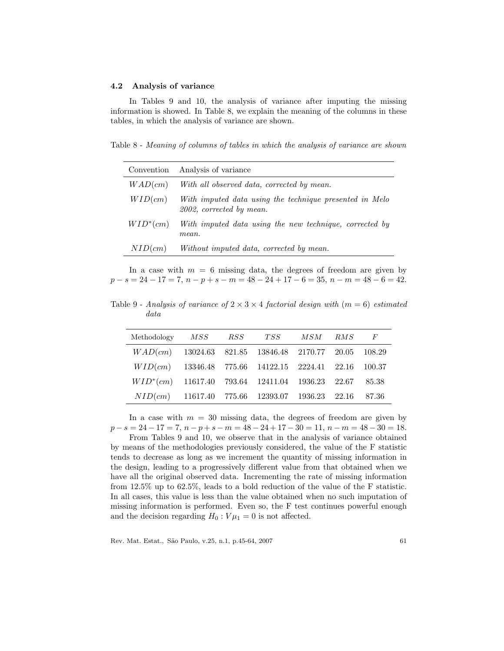### 4.2 Analysis of variance

In Tables 9 and 10, the analysis of variance after imputing the missing information is showed. In Table 8, we explain the meaning of the columns in these tables, in which the analysis of variance are shown.

Table 8 - Meaning of columns of tables in which the analysis of variance are shown

| Convention  | Analysis of variance                                                                |
|-------------|-------------------------------------------------------------------------------------|
| WAD(cm)     | With all observed data, corrected by mean.                                          |
| WID(cm)     | With imputed data using the technique presented in Melo<br>2002, corrected by mean. |
| $WID^*(cm)$ | With imputed data using the new technique, corrected by<br>mean.                    |
| NID(cm)     | Without imputed data, corrected by mean.                                            |

In a case with  $m = 6$  missing data, the degrees of freedom are given by  $p - s = 24 - 17 = 7$ ,  $n - p + s - m = 48 - 24 + 17 - 6 = 35$ ,  $n - m = 48 - 6 = 42$ .

Table 9 - Analysis of variance of  $2 \times 3 \times 4$  factorial design with  $(m = 6)$  estimated data

| Methodology MSS RSS TSS MSM RMS F                        |  |  |  |
|----------------------------------------------------------|--|--|--|
| $WAD(cm)$ 13024.63 821.85 13846.48 2170.77 20.05 108.29  |  |  |  |
| $WID(cm)$ 13346.48 775.66 14122.15 2224.41 22.16 100.37  |  |  |  |
| $WID^*(cm)$ 11617.40 793.64 12411.04 1936.23 22.67 85.38 |  |  |  |
| $NID(cm)$ 11617.40 775.66 12393.07 1936.23 22.16 87.36   |  |  |  |

In a case with  $m = 30$  missing data, the degrees of freedom are given by  $p-s = 24-17 = 7$ ,  $n-p+s-m = 48-24+17-30 = 11$ ,  $n-m = 48-30 = 18$ .

From Tables 9 and 10, we observe that in the analysis of variance obtained by means of the methodologies previously considered, the value of the F statistic tends to decrease as long as we increment the quantity of missing information in the design, leading to a progressively different value from that obtained when we have all the original observed data. Incrementing the rate of missing information from 12.5% up to 62.5% , leads to a bold reduction of the value of the F statistic. In all cases, this value is less than the value obtained when no such imputation of missing information is performed. Even so, the F test continues powerful enough and the decision regarding  $H_0$ :  $V\mu_1 = 0$  is not affected.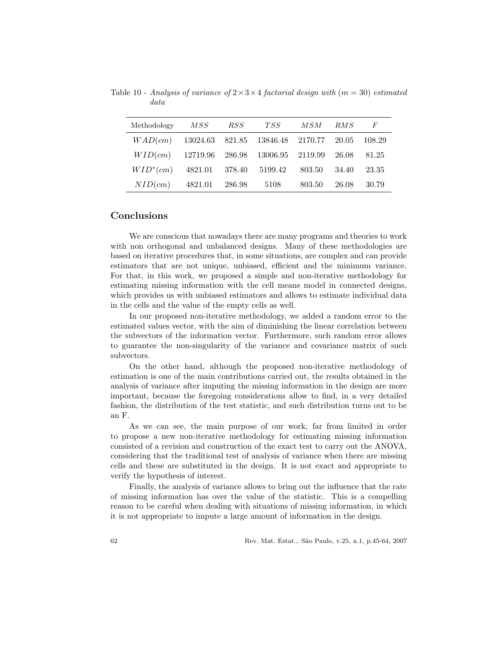| Methodology                                      | MSS     |        | RSS TSS | MSM    | RMS      | $\overline{F}$ |
|--------------------------------------------------|---------|--------|---------|--------|----------|----------------|
| $WAD(cm)$ 13024.63 821.85 13846.48 2170.77 20.05 |         |        |         |        |          | 108.29         |
| $WID(cm)$ 12719.96 286.98 13006.95 2119.99       |         |        |         |        | -- 26.08 | - 81.25        |
| $WID^*(cm)$ 4821.01 378.40 5199.42               |         |        |         | 803.50 | - 34.40  | 23.35          |
| NID(cm)                                          | 4821.01 | 286.98 | 5108    | 803.50 | 26.08    | 30.79          |

Table 10 - Analysis of variance of  $2 \times 3 \times 4$  factorial design with  $(m = 30)$  estimated data

### Conclusions

We are conscious that nowadays there are many programs and theories to work with non orthogonal and unbalanced designs. Many of these methodologies are based on iterative procedures that, in some situations, are complex and can provide estimators that are not unique, unbiased, efficient and the minimum variance. For that, in this work, we proposed a simple and non-iterative methodology for estimating missing information with the cell means model in connected designs, which provides us with unbiased estimators and allows to estimate individual data in the cells and the value of the empty cells as well.

In our proposed non-iterative methodology, we added a random error to the estimated values vector, with the aim of diminishing the linear correlation between the subvectors of the information vector. Furthermore, such random error allows to guarantee the non-singularity of the variance and covariance matrix of such subvectors.

On the other hand, although the proposed non-iterative methodology of estimation is one of the main contributions carried out, the results obtained in the analysis of variance after imputing the missing information in the design are more important, because the foregoing considerations allow to find, in a very detailed fashion, the distribution of the test statistic, and such distribution turns out to be an F.

As we can see, the main purpose of our work, far from limited in order to propose a new non-iterative methodology for estimating missing information consisted of a revision and construction of the exact test to carry out the ANOVA, considering that the traditional test of analysis of variance when there are missing cells and these are substituted in the design. It is not exact and appropriate to verify the hypothesis of interest.

Finally, the analysis of variance allows to bring out the influence that the rate of missing information has over the value of the statistic. This is a compelling reason to be careful when dealing with situations of missing information, in which it is not appropriate to impute a large amount of information in the design.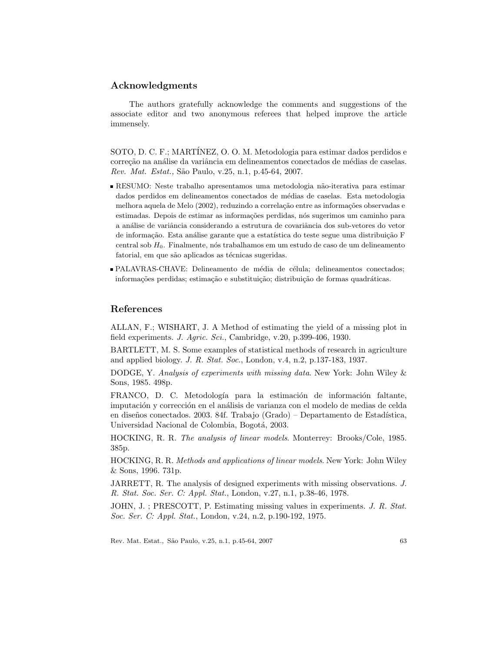# Acknowledgments

The authors gratefully acknowledge the comments and suggestions of the associate editor and two anonymous referees that helped improve the article immensely.

SOTO, D. C. F.; MARTÍNEZ, O. O. M. Metodologia para estimar dados perdidos e correção na análise da variância em delineamentos conectados de médias de caselas. Rev. Mat. Estat., São Paulo, v.25, n.1, p.45-64, 2007.

- RESUMO: Neste trabalho apresentamos uma metodologia não-iterativa para estimar dados perdidos em delineamentos conectados de médias de caselas. Esta metodologia melhora aquela de Melo (2002), reduzindo a correlação entre as informações observadas e estimadas. Depois de estimar as informações perdidas, nós sugerimos um caminho para a análise de variância considerando a estrutura de covariância dos sub-vetores do vetor de informação. Esta análise garante que a estatística do teste segue uma distribuição F central sob  $H_0$ . Finalmente, nós trabalhamos em um estudo de caso de um delineamento fatorial, em que são aplicados as técnicas sugeridas.
- PALAVRAS-CHAVE: Delineamento de média de célula; delineamentos conectados; informações perdidas; estimação e substituição; distribuição de formas quadráticas.

## **References**

ALLAN, F.; WISHART, J. A Method of estimating the yield of a missing plot in field experiments. J. Agric. Sci., Cambridge, v.20, p.399-406, 1930.

BARTLETT, M. S. Some examples of statistical methods of research in agriculture and applied biology. J. R. Stat. Soc., London, v.4, n.2, p.137-183, 1937.

DODGE, Y. Analysis of experiments with missing data. New York: John Wiley  $\&$ Sons, 1985. 498p.

FRANCO, D. C. Metodología para la estimación de información faltante, imputación y corrección en el análisis de varianza con el modelo de medias de celda en diseños conectados. 2003. 84f. Trabajo (Grado) – Departamento de Estadística, Universidad Nacional de Colombia, Bogotá, 2003.

HOCKING, R. R. The analysis of linear models. Monterrey: Brooks/Cole, 1985. 385p.

HOCKING, R. R. Methods and applications of linear models. New York: John Wiley & Sons, 1996. 731p.

JARRETT, R. The analysis of designed experiments with missing observations. J. R. Stat. Soc. Ser. C: Appl. Stat., London, v.27, n.1, p.38-46, 1978.

JOHN, J.; PRESCOTT, P. Estimating missing values in experiments. J. R. Stat. Soc. Ser. C: Appl. Stat., London, v.24, n.2, p.190-192, 1975.